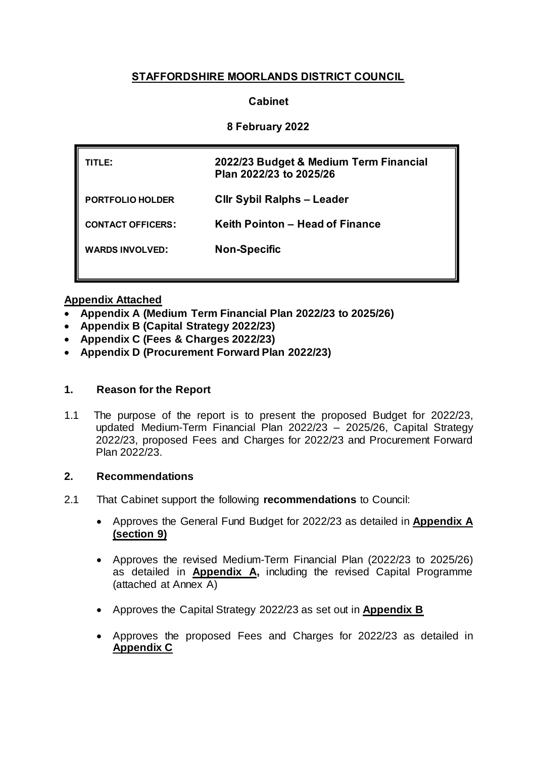# **STAFFORDSHIRE MOORLANDS DISTRICT COUNCIL**

# **Cabinet**

# **8 February 2022**

| TITLE:                   | 2022/23 Budget & Medium Term Financial<br>Plan 2022/23 to 2025/26 |
|--------------------------|-------------------------------------------------------------------|
| PORTFOLIO HOLDER         | <b>Cllr Sybil Ralphs - Leader</b>                                 |
| <b>CONTACT OFFICERS:</b> | Keith Pointon – Head of Finance                                   |
| <b>WARDS INVOLVED:</b>   | <b>Non-Specific</b>                                               |
|                          |                                                                   |

## **Appendix Attached**

- **Appendix A (Medium Term Financial Plan 2022/23 to 2025/26)**
- **Appendix B (Capital Strategy 2022/23)**
- **Appendix C (Fees & Charges 2022/23)**
- **Appendix D (Procurement Forward Plan 2022/23)**

### **1. Reason for the Report**

1.1 The purpose of the report is to present the proposed Budget for 2022/23, updated Medium-Term Financial Plan 2022/23 – 2025/26, Capital Strategy 2022/23, proposed Fees and Charges for 2022/23 and Procurement Forward Plan 2022/23.

### **2. Recommendations**

- 2.1 That Cabinet support the following **recommendations** to Council:
	- Approves the General Fund Budget for 2022/23 as detailed in **[Appendix A](file:///C:/Users/chazeldene/AppData/Local/Microsoft/Windows/Documents%20and%20Settings/cstone/Local%20Settings/astokes/AppData/Local/Microsoft/Windows/Temporary%20Internet%20Files/Content.Outlook/9RF23P99/SMDC%20-%20Budget%202012-13%20&%20MTFP%20App%20A%20(15-02-12).doc) (section 9)**
	- Approves the revised Medium-Term Financial Plan (2022/23 to 2025/26) as detailed in **Appendix A,** including the revised Capital Programme (attached at Annex A)
	- Approves the Capital Strategy 2022/23 as set out in **Appendix B**
	- Approves the proposed Fees and Charges for 2022/23 as detailed in **Appendix C**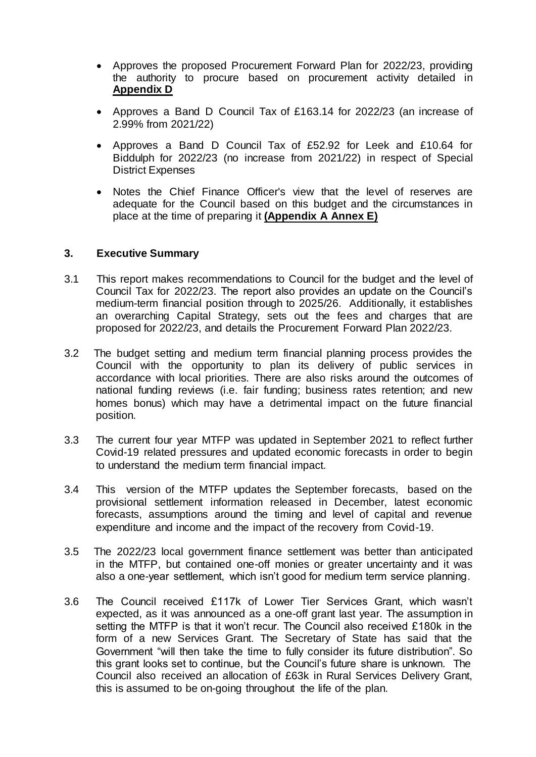- Approves the proposed Procurement Forward Plan for 2022/23, providing the authority to procure based on procurement activity detailed in **Appendix D**
- Approves a Band D Council Tax of £163.14 for 2022/23 (an increase of 2.99% from 2021/22)
- Approves a Band D Council Tax of £52.92 for Leek and £10.64 for Biddulph for 2022/23 (no increase from 2021/22) in respect of Special District Expenses
- Notes the Chief Finance Officer's view that the level of reserves are adequate for the Council based on this budget and the circumstances in place at the time of preparing it **(Appendix A Annex E)**

#### **3. Executive Summary**

- 3.1 This report makes recommendations to Council for the budget and the level of Council Tax for 2022/23. The report also provides an update on the Council's medium-term financial position through to 2025/26. Additionally, it establishes an overarching Capital Strategy, sets out the fees and charges that are proposed for 2022/23, and details the Procurement Forward Plan 2022/23.
- 3.2 The budget setting and medium term financial planning process provides the Council with the opportunity to plan its delivery of public services in accordance with local priorities. There are also risks around the outcomes of national funding reviews (i.e. fair funding; business rates retention; and new homes bonus) which may have a detrimental impact on the future financial position.
- 3.3 The current four year MTFP was updated in September 2021 to reflect further Covid-19 related pressures and updated economic forecasts in order to begin to understand the medium term financial impact.
- 3.4 This version of the MTFP updates the September forecasts, based on the provisional settlement information released in December, latest economic forecasts, assumptions around the timing and level of capital and revenue expenditure and income and the impact of the recovery from Covid-19.
- 3.5 The 2022/23 local government finance settlement was better than anticipated in the MTFP, but contained one-off monies or greater uncertainty and it was also a one-year settlement, which isn't good for medium term service planning.
- 3.6 The Council received £117k of Lower Tier Services Grant, which wasn't expected, as it was announced as a one-off grant last year. The assumption in setting the MTFP is that it won't recur. The Council also received £180k in the form of a new Services Grant. The Secretary of State has said that the Government "will then take the time to fully consider its future distribution". So this grant looks set to continue, but the Council's future share is unknown. The Council also received an allocation of £63k in Rural Services Delivery Grant, this is assumed to be on-going throughout the life of the plan.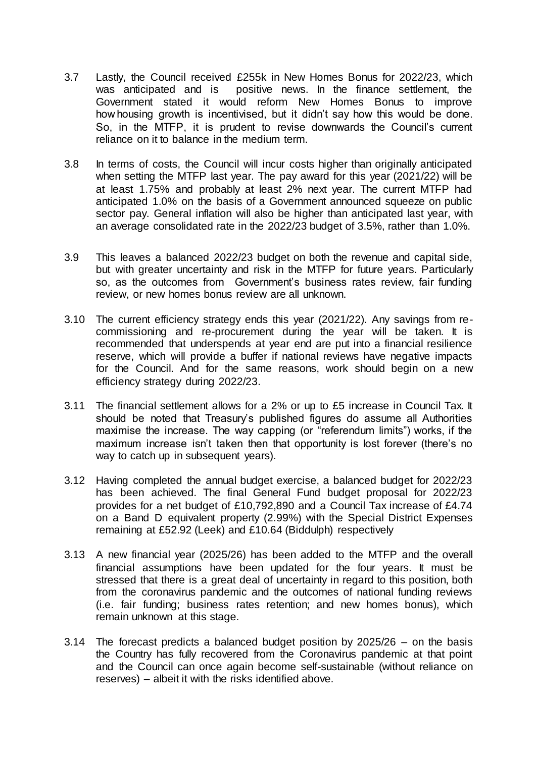- 3.7 Lastly, the Council received £255k in New Homes Bonus for 2022/23, which was anticipated and is positive news. In the finance settlement, the Government stated it would reform New Homes Bonus to improve how housing growth is incentivised, but it didn't say how this would be done. So, in the MTFP, it is prudent to revise downwards the Council's current reliance on it to balance in the medium term.
- 3.8 In terms of costs, the Council will incur costs higher than originally anticipated when setting the MTFP last year. The pay award for this year (2021/22) will be at least 1.75% and probably at least 2% next year. The current MTFP had anticipated 1.0% on the basis of a Government announced squeeze on public sector pay. General inflation will also be higher than anticipated last year, with an average consolidated rate in the 2022/23 budget of 3.5%, rather than 1.0%.
- 3.9 This leaves a balanced 2022/23 budget on both the revenue and capital side, but with greater uncertainty and risk in the MTFP for future years. Particularly so, as the outcomes from Government's business rates review, fair funding review, or new homes bonus review are all unknown.
- 3.10 The current efficiency strategy ends this year (2021/22). Any savings from recommissioning and re-procurement during the year will be taken. It is recommended that underspends at year end are put into a financial resilience reserve, which will provide a buffer if national reviews have negative impacts for the Council. And for the same reasons, work should begin on a new efficiency strategy during 2022/23.
- 3.11 The financial settlement allows for a 2% or up to £5 increase in Council Tax. It should be noted that Treasury's published figures do assume all Authorities maximise the increase. The way capping (or "referendum limits") works, if the maximum increase isn't taken then that opportunity is lost forever (there's no way to catch up in subsequent years).
- 3.12 Having completed the annual budget exercise, a balanced budget for 2022/23 has been achieved. The final General Fund budget proposal for 2022/23 provides for a net budget of £10,792,890 and a Council Tax increase of £4.74 on a Band D equivalent property (2.99%) with the Special District Expenses remaining at £52.92 (Leek) and £10.64 (Biddulph) respectively
- 3.13 A new financial year (2025/26) has been added to the MTFP and the overall financial assumptions have been updated for the four years. It must be stressed that there is a great deal of uncertainty in regard to this position, both from the coronavirus pandemic and the outcomes of national funding reviews (i.e. fair funding; business rates retention; and new homes bonus), which remain unknown at this stage.
- 3.14 The forecast predicts a balanced budget position by 2025/26 on the basis the Country has fully recovered from the Coronavirus pandemic at that point and the Council can once again become self-sustainable (without reliance on reserves) – albeit it with the risks identified above.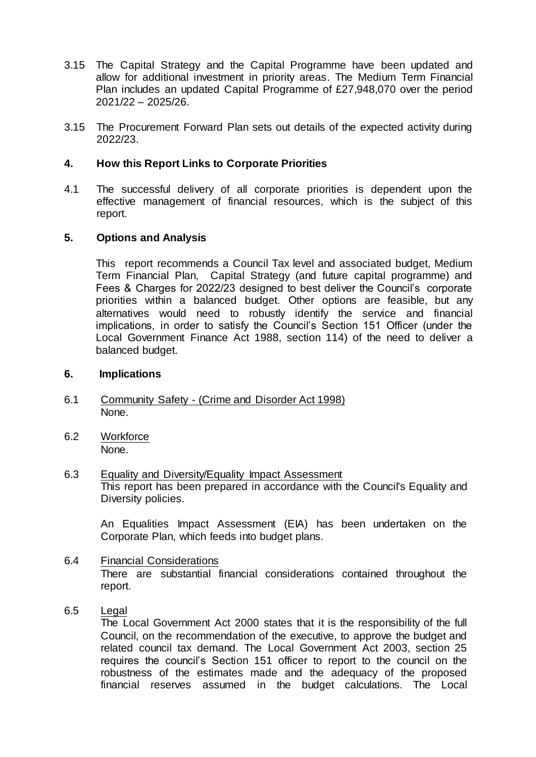- 3.15 The Capital Strategy and the Capital Programme have been updated and allow for additional investment in priority areas. The Medium Term Financial Plan includes an updated Capital Programme of £27,948,070 over the period 2021/22 – 2025/26.
- 3.15 The Procurement Forward Plan sets out details of the expected activity during 2022/23.

### **4. How this Report Links to Corporate Priorities**

4.1 The successful delivery of all corporate priorities is dependent upon the effective management of financial resources, which is the subject of this report.

## **5. Options and Analysis**

This report recommends a Council Tax level and associated budget, Medium Term Financial Plan, Capital Strategy (and future capital programme) and Fees & Charges for 2022/23 designed to best deliver the Council's corporate priorities within a balanced budget. Other options are feasible, but any alternatives would need to robustly identify the service and financial implications, in order to satisfy the Council's Section 151 Officer (under the Local Government Finance Act 1988, section 114) of the need to deliver a balanced budget.

#### **6. Implications**

- 6.1 Community Safety (Crime and Disorder Act 1998) None.
- 6.2 Workforce None.
- 6.3 Equality and Diversity/Equality Impact Assessment This report has been prepared in accordance with the Council's Equality and Diversity policies.

An Equalities Impact Assessment (EIA) has been undertaken on the Corporate Plan, which feeds into budget plans.

- 6.4 Financial Considerations There are substantial financial considerations contained throughout the report.
- 6.5 Legal

The Local Government Act 2000 states that it is the responsibility of the full Council, on the recommendation of the executive, to approve the budget and related council tax demand. The Local Government Act 2003, section 25 requires the council's Section 151 officer to report to the council on the robustness of the estimates made and the adequacy of the proposed financial reserves assumed in the budget calculations. The Local